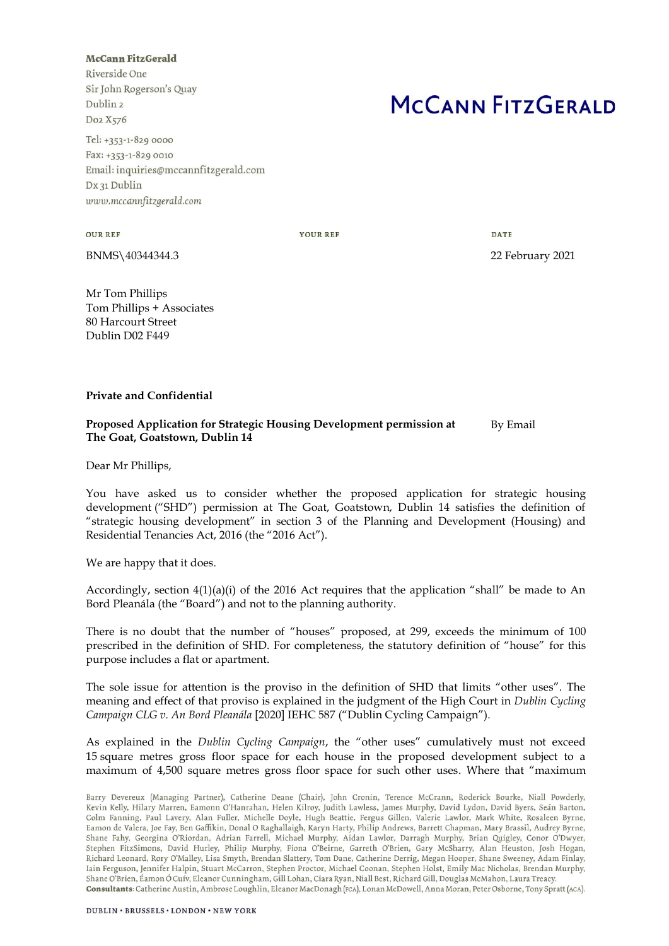## **McCann FitzGerald**

Riverside One Sir John Rogerson's Quay Dublin<sub>2</sub> Do2 X576

Tel: +353-1-829 0000 Fax: +353-1-829 0010 Email: inquiries@mccannfitzgerald.com Dx 31 Dublin www.mccannfitzgerald.com

## MCCANN FITZGERALD

**OUR REF** 

**YOUR REF** 

DATE

BNMS\40344344.3 22 February 2021

Mr Tom Phillips Tom Phillips + Associates 80 Harcourt Street Dublin D02 F449

## **Private and Confidential**

## **Proposed Application for Strategic Housing Development permission at The Goat, Goatstown, Dublin 14** By Email

Dear Mr Phillips,

You have asked us to consider whether the proposed application for strategic housing development ("SHD") permission at The Goat, Goatstown, Dublin 14 satisfies the definition of "strategic housing development" in section 3 of the Planning and Development (Housing) and Residential Tenancies Act, 2016 (the "2016 Act").

We are happy that it does.

Accordingly, section  $4(1)(a)(i)$  of the 2016 Act requires that the application "shall" be made to An Bord Pleanála (the "Board") and not to the planning authority.

There is no doubt that the number of "houses" proposed, at 299, exceeds the minimum of 100 prescribed in the definition of SHD. For completeness, the statutory definition of "house" for this purpose includes a flat or apartment.

The sole issue for attention is the proviso in the definition of SHD that limits "other uses". The meaning and effect of that proviso is explained in the judgment of the High Court in *Dublin Cycling Campaign CLG v. An Bord Pleanála* [2020] IEHC 587 ("Dublin Cycling Campaign").

As explained in the *Dublin Cycling Campaign*, the "other uses" cumulatively must not exceed 15 square metres gross floor space for each house in the proposed development subject to a maximum of 4,500 square metres gross floor space for such other uses. Where that "maximum

Barry Devereux (Managing Partner), Catherine Deane (Chair), John Cronin, Terence McCrann, Roderick Bourke, Niall Powderly, Kevin Kelly, Hilary Marren, Eamonn O'Hanrahan, Helen Kilroy, Judith Lawless, James Murphy, David Lydon, David Byers, Seán Barton, Colm Fanning, Paul Lavery, Alan Fuller, Michelle Doyle, Hugh Beattie, Fergus Gillen, Valerie Lawlor, Mark White, Rosaleen Byrne, Eamon de Valera, Joe Fay, Ben Gaffikin, Donal O Raghallaigh, Karyn Harty, Philip Andrews, Barrett Chapman, Mary Brassil, Audrey Byrne, Shane Fahy, Georgina O'Riordan, Adrian Farrell, Michael Murphy, Aidan Lawlor, Darragh Murphy, Brian Quigley, Conor O'Dwyer, Stephen FitzSimons, David Hurley, Philip Murphy, Fiona O'Beirne, Garreth O'Brien, Gary McSharry, Alan Heuston, Josh Hogan, Richard Leonard, Rory O'Malley, Lisa Smyth, Brendan Slattery, Tom Dane, Catherine Derrig, Megan Hooper, Shane Sweeney, Adam Finlay, Iain Ferguson, Jennifer Halpin, Stuart McCarron, Stephen Proctor, Michael Coonan, Stephen Holst, Emily Mac Nicholas, Brendan Murphy, Shane O'Brien, Éamon Ó Cuív, Eleanor Cunningham, Gill Lohan, Ciara Ryan, Niall Best, Richard Gill, Douglas McMahon, Laura Treacy. Consultants: Catherine Austin, Ambrose Loughlin, Eleanor MacDonagh (FCA), Lonan McDowell, Anna Moran, Peter Osborne, Tony Spratt (ACA).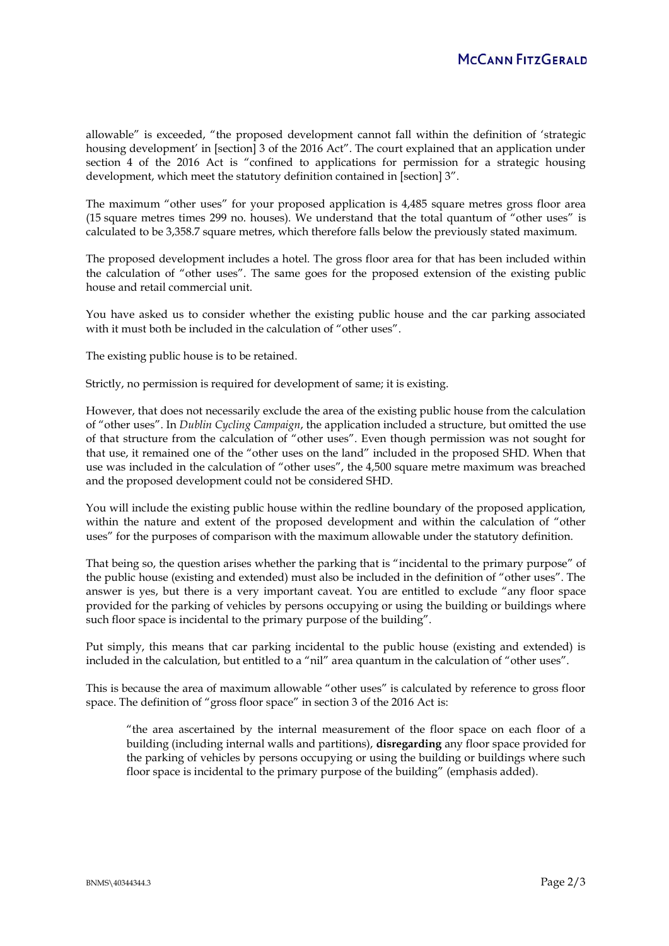allowable" is exceeded, "the proposed development cannot fall within the definition of 'strategic housing development' in [section] 3 of the 2016 Act". The court explained that an application under section 4 of the 2016 Act is "confined to applications for permission for a strategic housing development, which meet the statutory definition contained in [section] 3".

The maximum "other uses" for your proposed application is 4,485 square metres gross floor area (15 square metres times 299 no. houses). We understand that the total quantum of "other uses" is calculated to be 3,358.7 square metres, which therefore falls below the previously stated maximum.

The proposed development includes a hotel. The gross floor area for that has been included within the calculation of "other uses". The same goes for the proposed extension of the existing public house and retail commercial unit.

You have asked us to consider whether the existing public house and the car parking associated with it must both be included in the calculation of "other uses".

The existing public house is to be retained.

Strictly, no permission is required for development of same; it is existing.

However, that does not necessarily exclude the area of the existing public house from the calculation of "other uses". In *Dublin Cycling Campaign*, the application included a structure, but omitted the use of that structure from the calculation of "other uses". Even though permission was not sought for that use, it remained one of the "other uses on the land" included in the proposed SHD. When that use was included in the calculation of "other uses", the 4,500 square metre maximum was breached and the proposed development could not be considered SHD.

You will include the existing public house within the redline boundary of the proposed application, within the nature and extent of the proposed development and within the calculation of "other uses" for the purposes of comparison with the maximum allowable under the statutory definition.

That being so, the question arises whether the parking that is "incidental to the primary purpose" of the public house (existing and extended) must also be included in the definition of "other uses". The answer is yes, but there is a very important caveat. You are entitled to exclude "any floor space provided for the parking of vehicles by persons occupying or using the building or buildings where such floor space is incidental to the primary purpose of the building".

Put simply, this means that car parking incidental to the public house (existing and extended) is included in the calculation, but entitled to a "nil" area quantum in the calculation of "other uses".

This is because the area of maximum allowable "other uses" is calculated by reference to gross floor space. The definition of "gross floor space" in section 3 of the 2016 Act is:

"the area ascertained by the internal measurement of the floor space on each floor of a building (including internal walls and partitions), **disregarding** any floor space provided for the parking of vehicles by persons occupying or using the building or buildings where such floor space is incidental to the primary purpose of the building" (emphasis added).